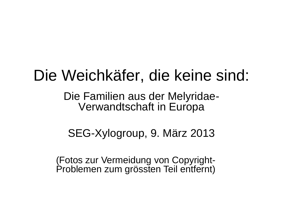#### Die Weichkäfer, die keine sind:

Die Familien aus der Melyridae-Verwandtschaft in Europa

SEG-Xylogroup, 9. März 2013

(Fotos zur Vermeidung von Copyright-Problemen zum grössten Teil entfernt)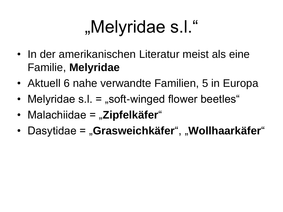## "Melyridae s.l."

- In der amerikanischen Literatur meist als eine Familie, **Melyridae**
- Aktuell 6 nahe verwandte Familien, 5 in Europa
- Melyridae  $s.l. =$  "soft-winged flower beetles"
- Malachiidae = "**Zipfelkäfer**"
- Dasytidae = "Grasweichkäfer", "Wollhaarkäfer"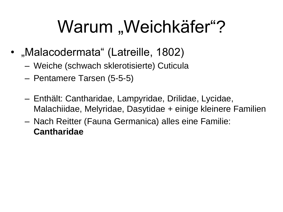## Warum "Weichkäfer"?

- "Malacodermata" (Latreille, 1802)
	- Weiche (schwach sklerotisierte) Cuticula
	- Pentamere Tarsen (5-5-5)
	- Enthält: Cantharidae, Lampyridae, Drilidae, Lycidae, Malachiidae, Melyridae, Dasytidae + einige kleinere Familien
	- Nach Reitter (Fauna Germanica) alles eine Familie: **Cantharidae**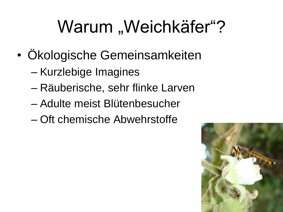# Warum "Weichkäfer"?

- Ökologische Gemeinsamkeiten
	- Kurzlebige Imagines
	- Räuberische, sehr flinke Larven
	- Adulte meist Blütenbesucher
	- Oft chemische Abwehrstoffe

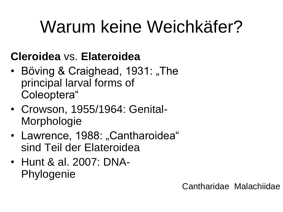## Warum keine Weichkäfer?

#### **Cleroidea** vs. **Elateroidea**

- Böving & Craighead, 1931: "The principal larval forms of Coleoptera"
- Crowson, 1955/1964: Genital-**Morphologie**
- Lawrence, 1988: "Cantharoidea" sind Teil der Elateroidea
- Hunt & al. 2007: DNA-Phylogenie

Cantharidae Malachiidae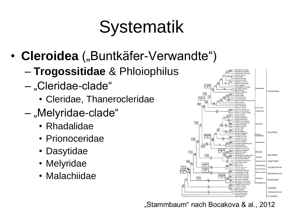## **Systematik**

- Cleroidea ("Buntkäfer-Verwandte")
	- **Trogossitidae** & Phloiophilus
	- "Cleridae-clade"
		- Cleridae, Thanerocleridae
	- "Melyridae-clade"
		- Rhadalidae
		- Prionoceridae
		- Dasytidae
		- Melyridae
		- Malachiidae



"Stammbaum" nach Bocakova & al., 2012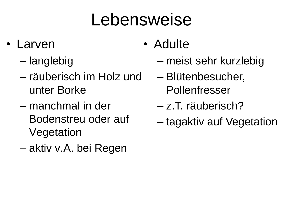#### Lebensweise

- Larven
	- langlebig
	- räuberisch im Holz und unter Borke
	- manchmal in der Bodenstreu oder auf Vegetation
	- aktiv v.A. bei Regen
- Adulte
	- meist sehr kurzlebig
	- Blütenbesucher, Pollenfresser
	- z.T. räuberisch?
	- tagaktiv auf Vegetation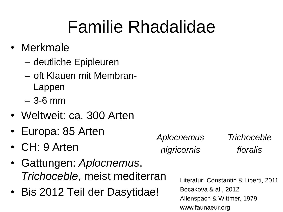#### Familie Rhadalidae

- Merkmale
	- deutliche Epipleuren
	- oft Klauen mit Membran-Lappen
	- 3-6 mm
- Weltweit: ca. 300 Arten
- Europa: 85 Arten
- CH: 9 Arten
- Gattungen: *Aplocnemus*, *Trichoceble*, meist mediterran
- Bis 2012 Teil der Dasytidae!

*Aplocnemus nigricornis Trichoceble floralis*

> Literatur: Constantin & Liberti, 2011 Bocakova & al., 2012 Allenspach & Wittmer, 1979 www.faunaeur.org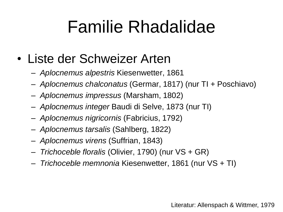#### Familie Rhadalidae

- Liste der Schweizer Arten
	- *Aplocnemus alpestris* Kiesenwetter, 1861
	- *Aplocnemus chalconatus* (Germar, 1817) (nur TI + Poschiavo)
	- *Aplocnemus impressus* (Marsham, 1802)
	- *Aplocnemus integer* Baudi di Selve, 1873 (nur TI)
	- *Aplocnemus nigricornis* (Fabricius, 1792)
	- *Aplocnemus tarsalis* (Sahlberg, 1822)
	- *Aplocnemus virens* (Suffrian, 1843)
	- *Trichoceble floralis* (Olivier, 1790) (nur VS + GR)
	- *Trichoceble memnonia* Kiesenwetter, 1861 (nur VS + TI)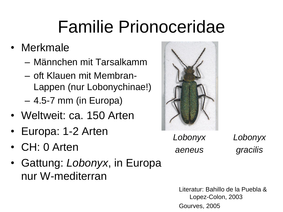### Familie Prionoceridae

- Merkmale
	- Männchen mit Tarsalkamm
	- oft Klauen mit Membran-Lappen (nur Lobonychinae!)
	- 4.5-7 mm (in Europa)
- Weltweit: ca. 150 Arten
- Europa: 1-2 Arten
- CH: 0 Arten
- Gattung: *Lobonyx*, in Europa nur W-mediterran



*Lobonyx aeneus*

*Lobonyx gracilis*

Literatur: Bahillo de la Puebla & Lopez-Colon, 2003 Gourves, 2005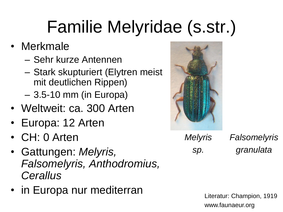## Familie Melyridae (s.str.)

- Merkmale
	- Sehr kurze Antennen
	- Stark skupturiert (Elytren meist mit deutlichen Rippen)
	- 3.5-10 mm (in Europa)
- Weltweit: ca. 300 Arten
- Europa: 12 Arten
- CH: 0 Arten
- Gattungen: *Melyris, Falsomelyris, Anthodromius, Cerallus*
- in Europa nur mediterran



*Melyris sp. Falsomelyris granulata*

> Literatur: Champion, 1919 www.faunaeur.org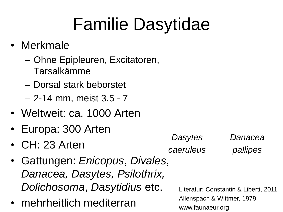# Familie Dasytidae

- Merkmale
	- Ohne Epipleuren, Excitatoren, Tarsalkämme
	- Dorsal stark beborstet
	- 2-14 mm, meist 3.5 7
- Weltweit: ca. 1000 Arten
- Europa: 300 Arten
- CH: 23 Arten
- Gattungen: *Enicopus*, *Divales*, *Danacea, Dasytes, Psilothrix, Dolichosoma*, *Dasytidius* etc.
- mehrheitlich mediterran

*Dasytes caeruleus*

*Danacea pallipes*

Literatur: Constantin & Liberti, 2011 Allenspach & Wittmer, 1979 www.faunaeur.org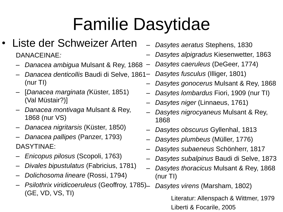## Familie Dasytidae

- Liste der Schweizer Arten DANACEINAE*:*
	- *Danacea ambigua* Mulsant & Rey, 1868
	- *Danacea denticollis* Baudi di Selve, 1861 (nur TI)
	- [*Danacea marginata (*Küster, 1851) (Val Müstair?)]
	- *Danacea montivaga* Mulsant & Rey, 1868 (nur VS)
	- *Danacea nigritarsis* (Küster, 1850)
	- *Danacea pallipes* (Panzer, 1793) DASYTINAE:
	- *Enicopus pilosus* (Scopoli, 1763)
	- *Divales bipustulatus* (Fabricius, 1781)
	- *Dolichosoma lineare* (Rossi, 1794)
	- *Psilothrix viridicoeruleus* (Geoffroy, 1785) (GE, VD, VS, TI)
- *Dasytes aeratus* Stephens, 1830
- *Dasytes alpigradus* Kiesenwetter, 1863
- *Dasytes caeruleus* (DeGeer, 1774)
- *Dasytes fusculus* (Illiger, 1801)
	- *Dasytes gonocerus* Mulsant & Rey, 1868
	- *Dasytes lombardus* Fiori, 1909 (nur TI)
	- *Dasytes niger* (Linnaeus, 1761)
	- *Dasytes nigrocyaneus* Mulsant & Rey, 1868
	- *Dasytes obscurus* Gyllenhal, 1813
	- *Dasytes plumbeus* (Müller, 1776)
	- *Dasytes subaeneus* Schönherr, 1817
	- *Dasytes subalpinus* Baudi di Selve, 1873
	- *Dasytes thoracicus* Mulsant & Rey, 1868 (nur TI)
		- *Dasytes virens* (Marsham, 1802) Literatur: Allenspach & Wittmer, 1979 Liberti & Focarile, 2005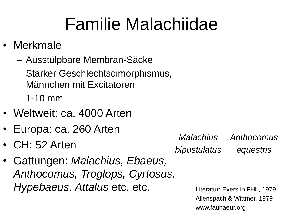## Familie Malachiidae

- Merkmale
	- Ausstülpbare Membran-Säcke
	- Starker Geschlechtsdimorphismus, Männchen mit Excitatoren
	- $-1-10$  mm
- Weltweit: ca. 4000 Arten
- Europa: ca. 260 Arten
- CH: 52 Arten
- Gattungen: *Malachius, Ebaeus, Anthocomus, Troglops, Cyrtosus, Hypebaeus, Attalus* etc. etc.

*Malachius bipustulatus Anthocomus equestris*

> Literatur: Evers in FHL, 1979 Allenspach & Wittmer, 1979 www.faunaeur.org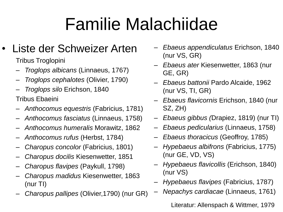# Familie Malachiidae

#### Liste der Schweizer Arten

Tribus Troglopini

- *Troglops albicans* (Linnaeus, 1767)
- *Troglops cephalotes* (Olivier, 1790)
- *Troglops silo* Erichson, 1840

Tribus Ebaeini

- *Anthocomus equestris* (Fabricius, 1781)
- *Anthocomus fasciatus* (Linnaeus, 1758)
- *Anthocomus humeralis* Morawitz, 1862
- *Anthocomus rufus* (Herbst, 1784)
- *Charopus concolor* (Fabricius, 1801)
- *Charopus docilis* Kiesenwetter, 1851
- *Charopus flavipes* (Paykull, 1798)
- *Charopus madidus* Kiesenwetter, 1863 (nur TI)
- *Charopus pallipes* (Olivier,1790) (nur GR)
- *Ebaeus appendiculatus* Erichson, 1840 (nur VS, GR)
- *Ebaeus ater* Kiesenwetter, 1863 (nur GE, GR)
- *Ebaeus battonii* Pardo Alcaide, 1962 (nur VS, TI, GR)
- *Ebaeus flavicornis* Erichson, 1840 (nur SZ, ZH)
- *Ebaeus gibbus (*Drapiez, 1819) (nur TI)
- *Ebaeus pedicularius* (Linnaeus, 1758)
- *Ebaeus thoracicus* (Geoffroy, 1785)
- *Hypebaeus albifrons* (Fabricius, 1775) (nur GE, VD, VS)
- *Hypebaeus flavicollis* (Erichson, 1840) (nur VS)
- *Hypebaeus flavipes* (Fabricius, 1787)
	- *Nepachys cardiacae* (Linnaeus, 1761)

Literatur: Allenspach & Wittmer, 1979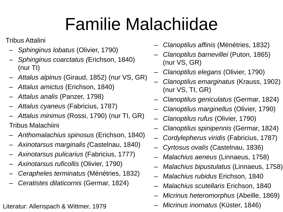# Familie Malachiidae

Tribus Attalini

- *Sphinginus lobatus* (Olivier, 1790)
- *Sphinginus coarctatus (*Erichson, 1840) (nur TI)
- *Attalus alpinus* (Giraud, 1852) (nur VS, GR)
- *Attalus amictus* (Erichson, 1840)
- *Attalus analis* (Panzer, 1798)
- *Attalus cyaneus* (Fabricius, 1787)
- *Attalus minimus* (Rossi, 1790) (nur TI, GR) Tribus Malachiini
- *Anthomalachius spinosus* (Erichson, 1840)
- *Axinotarsus marginalis (*Castelnau, 1840)
- *Axinotarsus pulicarius* (Fabricius, 1777)
- *Axinotarsus ruficollis* (Olivier, 1790)
- *Cerapheles terminatus* (Ménétries, 1832)
- *Ceratistes dilaticornis* (Germar, 1824)

Literatur: Allenspach & Wittmer, 1979

- *Clanoptilus affinis* (Ménétries, 1832)
- *Clanoptilus barnevillei* (Puton, 1865) (nur VS, GR)
- *Clanoptilus elegans* (Olivier, 1790)
- *Clanoptilus emarginatus* (Krauss, 1902) (nur VS, TI, GR)
- *Clanoptilus geniculatus* (Germar, 1824)
- *Clanoptilus marginellus* (Olivier, 1790)
- *Clanoptilus rufus* (Olivier, 1790)
- *Clanoptilus spinipennis* (Germar, 1824)
- *Cordylepherus viridis* (Fabricius, 1787)
- *Cyrtosus ovalis* (Castelnau, 1836)
- *Malachius aeneus* (Linnaeus, 1758)
- *Malachius bipustulatus* (Linnaeus, 1758)
- *Malachius rubidus* Erichson, 1840
- *Malachius scutellaris* Erichson, 1840
- *Micrinus heteromorphus* (Abeille, 1869)
- *Micrinus inornatus* (Küster, 1846)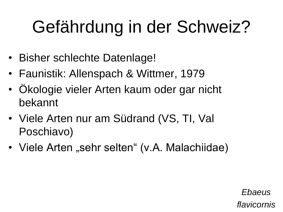# Gefährdung in der Schweiz?

- Bisher schlechte Datenlage!
- Faunistik: Allenspach & Wittmer, 1979
- Ökologie vieler Arten kaum oder gar nicht bekannt
- Viele Arten nur am Südrand (VS, TI, Val Poschiavo)
- Viele Arten "sehr selten" (v.A. Malachiidae)

*Ebaeus flavicornis*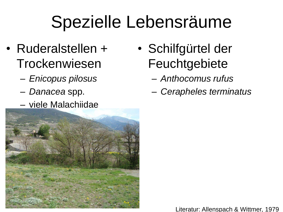#### Spezielle Lebensräume

- Ruderalstellen + Trockenwiesen
	- *Enicopus pilosus*
	- *Danacea* spp.
	- viele Malachiidae



- Schilfgürtel der **Feuchtgebiete** 
	- *Anthocomus rufus*
	- *Cerapheles terminatus*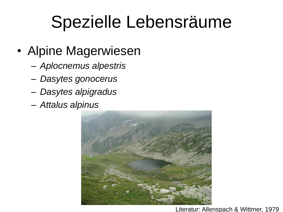#### Spezielle Lebensräume

- Alpine Magerwiesen
	- *Aplocnemus alpestris*
	- *Dasytes gonocerus*
	- *Dasytes alpigradus*
	- *Attalus alpinus*

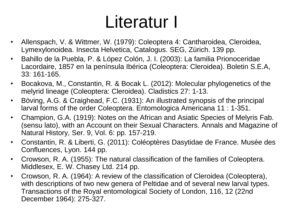#### Literatur I

- Allenspach, V. & Wittmer, W. (1979): Coleoptera 4: Cantharoidea, Cleroidea, Lymexylonoidea. Insecta Helvetica, Catalogus. SEG, Zürich. 139 pp.
- Bahillo de la Puebla, P. & López Colón, J. I. (2003): La familia Prionoceridae Lacordaire, 1857 en la península Ibérica (Coleoptera: Cleroidea). Boletin S.E.A, 33: 161-165.
- Bocakova, M., Constantin, R. & Bocak L. (2012): Molecular phylogenetics of the melyrid lineage (Coleoptera: Cleroidea). Cladistics 27: 1-13.
- Böving, A.G. & Craighead, F.C. (1931): An illustrated synopsis of the principal larval forms of the order Coleoptera. Entomologica Americana 11 : 1-351.
- Champion, G.A. (1919): Notes on the African and Asiatic Species of Melyris Fab. (sensu lato), with an Account on their Sexual Characters. Annals and Magazine of Natural History, Ser. 9, Vol. 6: pp. 157-219.
- Constantin, R. & Liberti, G. (2011): Coléoptères Dasytidae de France. Musée des Confluences, Lyon. 144 pp.
- Crowson, R. A. (1955): The natural classification of the families of Coleoptera. Middlesex, E. W. Chasey Ltd. 214 pp.
- Crowson, R. A. (1964): A review of the classification of Cleroidea (Coleoptera), with descriptions of two new genera of Peltidae and of several new larval types. Transactions of the Royal entomological Society of London, 116, 12 (22nd December 1964): 275-327.